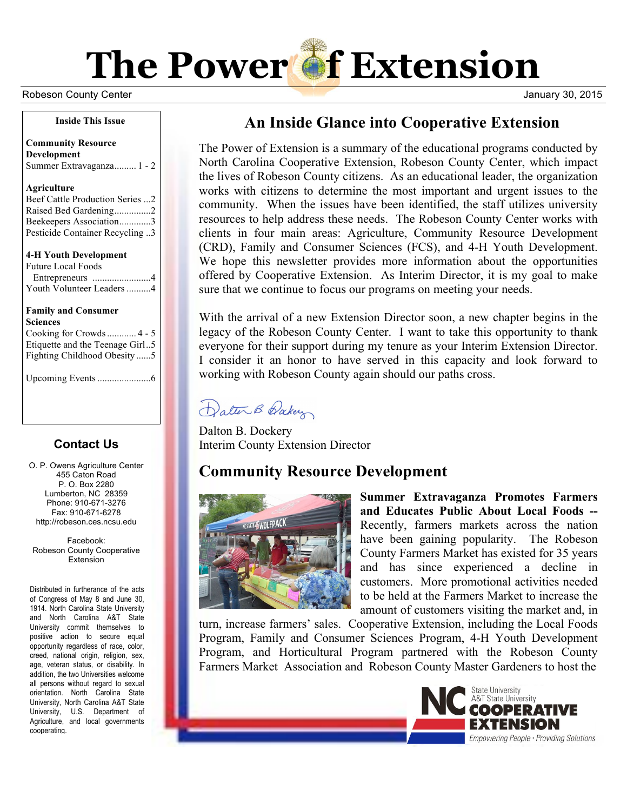

Robeson County Center **Network County Center Act County Center Act County Center Act County Center Act County Center Act County Center Act On the Unit Of the Unit Of the Unit Of the Unit Of the Unit Of the Unit Of the Unit** 

#### **Inside This Issue**

**Community Resource Development** Summer Extravaganza......... 1 - 2

#### **Agriculture**

| Beef Cattle Production Series 2 |  |
|---------------------------------|--|
| Raised Bed Gardening2           |  |
| Beekeepers Association3         |  |
| Pesticide Container Recycling 3 |  |

**4-H Youth Development** Future Local Foods

| T under Event Foods       |  |
|---------------------------|--|
|                           |  |
| Youth Volunteer Leaders 4 |  |

#### **Family and Consumer Sciences**

Cooking for Crowds............ 4 - 5 Etiquette and the Teenage Girl..5 Fighting Childhood Obesity ......5

Upcoming Events......................6

### **Contact Us**

O. P. Owens Agriculture Center 455 Caton Road P. O. Box 2280 Lumberton, NC 28359 Phone: 910-671-3276 Fax: 910-671-6278 http://robeson.ces.ncsu.edu

Facebook: Robeson County Cooperative **Extension** 

Distributed in furtherance of the acts of Congress of May 8 and June 30, 1914. North Carolina State University and North Carolina A&T State University commit themselves to positive action to secure equal opportunity regardless of race, color, creed, national origin, religion, sex, age, veteran status, or disability. In addition, the two Universities welcome all persons without regard to sexual orientation. North Carolina State University, North Carolina A&T State University, U.S. Department of Agriculture, and local governments cooperating.

# **An Inside Glance into Cooperative Extension**

The Power of Extension is a summary of the educational programs conducted by North Carolina Cooperative Extension, Robeson County Center, which impact the lives of Robeson County citizens. As an educational leader, the organization works with citizens to determine the most important and urgent issues to the community. When the issues have been identified, the staff utilizes university resources to help address these needs. The Robeson County Center works with clients in four main areas: Agriculture, Community Resource Development (CRD), Family and Consumer Sciences (FCS), and 4-H Youth Development. We hope this newsletter provides more information about the opportunities offered by Cooperative Extension. As Interim Director, it is my goal to make sure that we continue to focus our programs on meeting your needs.

With the arrival of a new Extension Director soon, a new chapter begins in the legacy of the Robeson County Center. I want to take this opportunity to thank everyone for their support during my tenure as your Interim Extension Director. I consider it an honor to have served in this capacity and look forward to working with Robeson County again should our paths cross.

Dater B Baker

Dalton B. Dockery Interim County Extension Director

# **Community Resource Development**



**Summer Extravaganza Promotes Farmers and Educates Public About Local Foods --** Recently, farmers markets across the nation have been gaining popularity. The Robeson County Farmers Market has existed for 35 years and has since experienced a decline in customers. More promotional activities needed to be held at the Farmers Market to increase the amount of customers visiting the market and, in

turn, increase farmers' sales. Cooperative Extension, including the Local Foods Program, Family and Consumer Sciences Program, 4-H Youth Development Program, and Horticultural Program partnered with the Robeson County Farmers Market Association and Robeson County Master Gardeners to host the

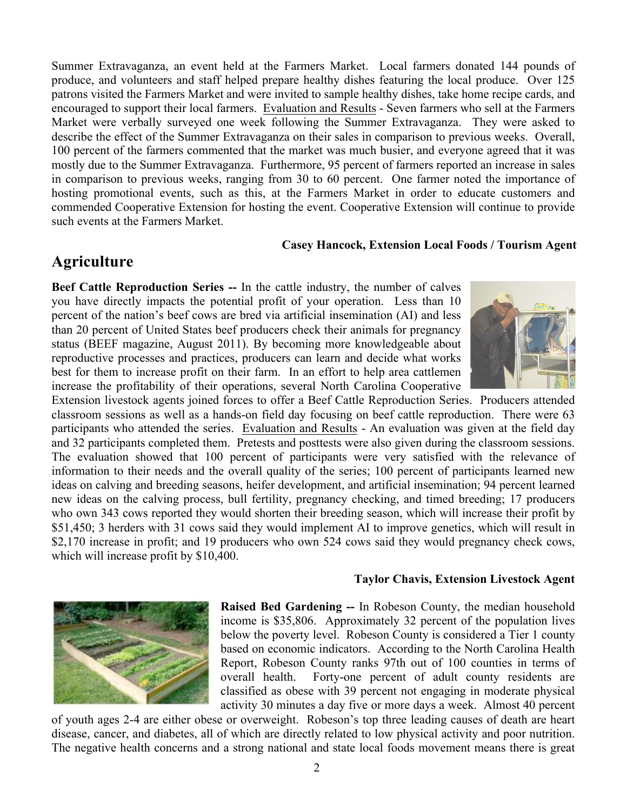Summer Extravaganza, an event held at the Farmers Market. Local farmers donated 144 pounds of produce, and volunteers and staff helped prepare healthy dishes featuring the local produce. Over 125 patrons visited the Farmers Market and were invited to sample healthy dishes, take home recipe cards, and encouraged to support their local farmers. Evaluation and Results - Seven farmers who sell at the Farmers Market were verbally surveyed one week following the Summer Extravaganza. They were asked to describe the effect of the Summer Extravaganza on their sales in comparison to previous weeks. Overall, 100 percent of the farmers commented that the market was much busier, and everyone agreed that it was mostly due to the Summer Extravaganza. Furthermore, 95 percent of farmers reported an increase in sales in comparison to previous weeks, ranging from 30 to 60 percent. One farmer noted the importance of hosting promotional events, such as this, at the Farmers Market in order to educate customers and commended Cooperative Extension for hosting the event. Cooperative Extension will continue to provide such events at the Farmers Market.

### **Casey Hancock, Extension Local Foods / Tourism Agent**

### **Agriculture**

**Beef Cattle Reproduction Series --** In the cattle industry, the number of calves you have directly impacts the potential profit of your operation. Less than 10 percent of the nation's beef cows are bred via artificial insemination (AI) and less than 20 percent of United States beef producers check their animals for pregnancy status (BEEF magazine, August 2011). By becoming more knowledgeable about reproductive processes and practices, producers can learn and decide what works best for them to increase profit on their farm. In an effort to help area cattlemen increase the profitability of their operations, several North Carolina Cooperative



Extension livestock agents joined forces to offer a Beef Cattle Reproduction Series. Producers attended classroom sessions as well as a hands-on field day focusing on beef cattle reproduction. There were 63 participants who attended the series. Evaluation and Results - An evaluation was given at the field day and 32 participants completed them. Pretests and posttests were also given during the classroom sessions. The evaluation showed that 100 percent of participants were very satisfied with the relevance of information to their needs and the overall quality of the series; 100 percent of participants learned new ideas on calving and breeding seasons, heifer development, and artificial insemination; 94 percent learned new ideas on the calving process, bull fertility, pregnancy checking, and timed breeding; 17 producers who own 343 cows reported they would shorten their breeding season, which will increase their profit by \$51,450; 3 herders with 31 cows said they would implement AI to improve genetics, which will result in \$2,170 increase in profit; and 19 producers who own 524 cows said they would pregnancy check cows, which will increase profit by \$10,400.

#### **Taylor Chavis, Extension Livestock Agent**



**Raised Bed Gardening --** In Robeson County, the median household income is \$35,806. Approximately 32 percent of the population lives below the poverty level. Robeson County is considered a Tier 1 county based on economic indicators. According to the North Carolina Health Report, Robeson County ranks 97th out of 100 counties in terms of overall health. Forty-one percent of adult county residents are classified as obese with 39 percent not engaging in moderate physical activity 30 minutes a day five or more days a week. Almost 40 percent

of youth ages 2-4 are either obese or overweight. Robeson's top three leading causes of death are heart disease, cancer, and diabetes, all of which are directly related to low physical activity and poor nutrition. The negative health concerns and a strong national and state local foods movement means there is great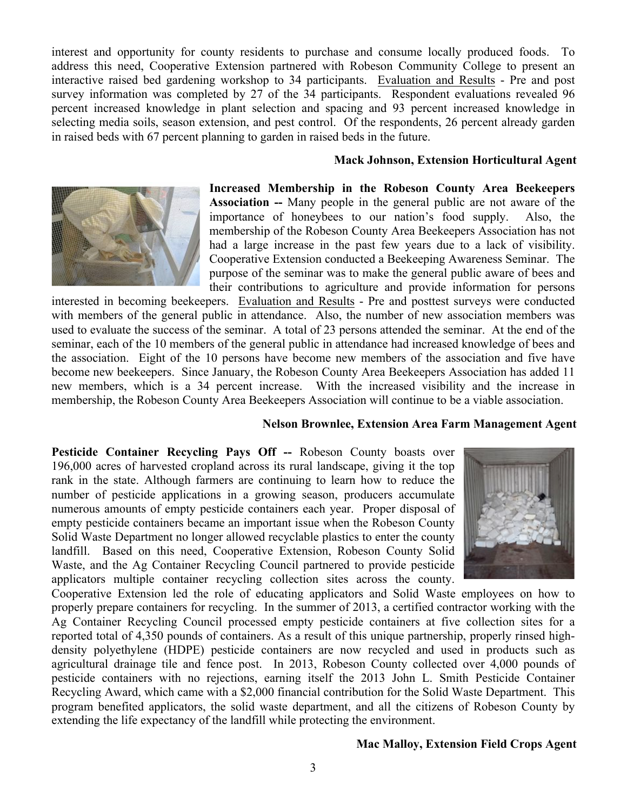interest and opportunity for county residents to purchase and consume locally produced foods. To address this need, Cooperative Extension partnered with Robeson Community College to present an interactive raised bed gardening workshop to 34 participants. Evaluation and Results - Pre and post survey information was completed by 27 of the 34 participants. Respondent evaluations revealed 96 percent increased knowledge in plant selection and spacing and 93 percent increased knowledge in selecting media soils, season extension, and pest control. Of the respondents, 26 percent already garden in raised beds with 67 percent planning to garden in raised beds in the future.

#### **Mack Johnson, Extension Horticultural Agent**



**Increased Membership in the Robeson County Area Beekeepers Association --** Many people in the general public are not aware of the importance of honeybees to our nation's food supply. Also, the membership of the Robeson County Area Beekeepers Association has not had a large increase in the past few years due to a lack of visibility. Cooperative Extension conducted a Beekeeping Awareness Seminar. The purpose of the seminar was to make the general public aware of bees and their contributions to agriculture and provide information for persons

interested in becoming beekeepers. Evaluation and Results - Pre and posttest surveys were conducted with members of the general public in attendance. Also, the number of new association members was used to evaluate the success of the seminar. A total of 23 persons attended the seminar. At the end of the seminar, each of the 10 members of the general public in attendance had increased knowledge of bees and the association. Eight of the 10 persons have become new members of the association and five have become new beekeepers. Since January, the Robeson County Area Beekeepers Association has added 11 new members, which is a 34 percent increase. With the increased visibility and the increase in membership, the Robeson County Area Beekeepers Association will continue to be a viable association.

#### **Nelson Brownlee, Extension Area Farm Management Agent**

**Pesticide Container Recycling Pays Off --** Robeson County boasts over 196,000 acres of harvested cropland across its rural landscape, giving it the top rank in the state. Although farmers are continuing to learn how to reduce the number of pesticide applications in a growing season, producers accumulate numerous amounts of empty pesticide containers each year. Proper disposal of empty pesticide containers became an important issue when the Robeson County Solid Waste Department no longer allowed recyclable plastics to enter the county landfill. Based on this need, Cooperative Extension, Robeson County Solid Waste, and the Ag Container Recycling Council partnered to provide pesticide applicators multiple container recycling collection sites across the county.



Cooperative Extension led the role of educating applicators and Solid Waste employees on how to properly prepare containers for recycling. In the summer of 2013, a certified contractor working with the Ag Container Recycling Council processed empty pesticide containers at five collection sites for a reported total of 4,350 pounds of containers. As a result of this unique partnership, properly rinsed highdensity polyethylene (HDPE) pesticide containers are now recycled and used in products such as agricultural drainage tile and fence post. In 2013, Robeson County collected over 4,000 pounds of pesticide containers with no rejections, earning itself the 2013 John L. Smith Pesticide Container Recycling Award, which came with a \$2,000 financial contribution for the Solid Waste Department. This program benefited applicators, the solid waste department, and all the citizens of Robeson County by extending the life expectancy of the landfill while protecting the environment.

#### **Mac Malloy, Extension Field Crops Agent**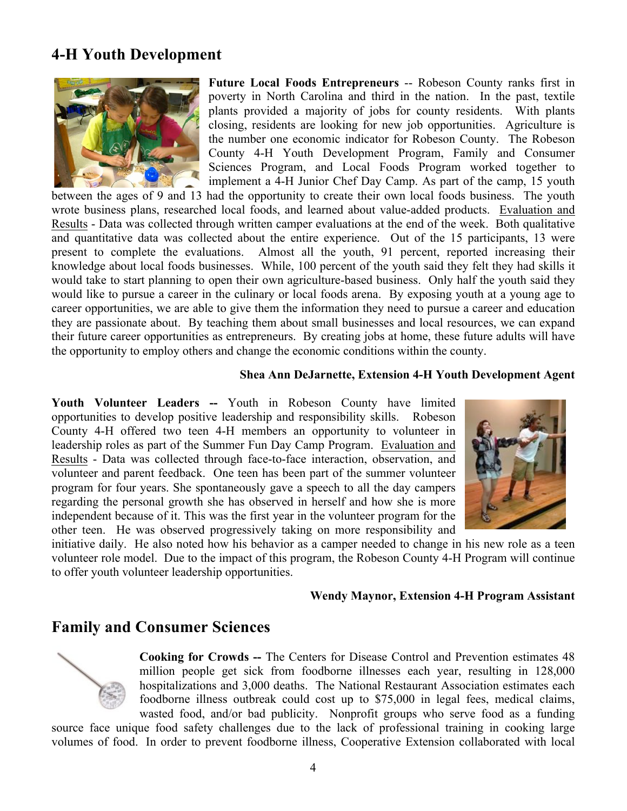# **4-H Youth Development**



**Future Local Foods Entrepreneurs** -- Robeson County ranks first in poverty in North Carolina and third in the nation. In the past, textile plants provided a majority of jobs for county residents. With plants closing, residents are looking for new job opportunities. Agriculture is the number one economic indicator for Robeson County. The Robeson County 4-H Youth Development Program, Family and Consumer Sciences Program, and Local Foods Program worked together to implement a 4-H Junior Chef Day Camp. As part of the camp, 15 youth

between the ages of 9 and 13 had the opportunity to create their own local foods business. The youth wrote business plans, researched local foods, and learned about value-added products. Evaluation and Results - Data was collected through written camper evaluations at the end of the week. Both qualitative and quantitative data was collected about the entire experience. Out of the 15 participants, 13 were present to complete the evaluations. Almost all the youth, 91 percent, reported increasing their knowledge about local foods businesses. While, 100 percent of the youth said they felt they had skills it would take to start planning to open their own agriculture-based business. Only half the youth said they would like to pursue a career in the culinary or local foods arena. By exposing youth at a young age to career opportunities, we are able to give them the information they need to pursue a career and education they are passionate about. By teaching them about small businesses and local resources, we can expand their future career opportunities as entrepreneurs. By creating jobs at home, these future adults will have the opportunity to employ others and change the economic conditions within the county.

#### **Shea Ann DeJarnette, Extension 4-H Youth Development Agent**

**Youth Volunteer Leaders --** Youth in Robeson County have limited opportunities to develop positive leadership and responsibility skills. Robeson County 4-H offered two teen 4-H members an opportunity to volunteer in leadership roles as part of the Summer Fun Day Camp Program. Evaluation and Results - Data was collected through face-to-face interaction, observation, and volunteer and parent feedback. One teen has been part of the summer volunteer program for four years. She spontaneously gave a speech to all the day campers regarding the personal growth she has observed in herself and how she is more independent because of it. This was the first year in the volunteer program for the other teen. He was observed progressively taking on more responsibility and



initiative daily. He also noted how his behavior as a camper needed to change in his new role as a teen volunteer role model. Due to the impact of this program, the Robeson County 4-H Program will continue to offer youth volunteer leadership opportunities.

#### **Wendy Maynor, Extension 4-H Program Assistant**

### **Family and Consumer Sciences**



**Cooking for Crowds --** The Centers for Disease Control and Prevention estimates 48 million people get sick from foodborne illnesses each year, resulting in 128,000 hospitalizations and 3,000 deaths. The National Restaurant Association estimates each foodborne illness outbreak could cost up to \$75,000 in legal fees, medical claims, wasted food, and/or bad publicity. Nonprofit groups who serve food as a funding

source face unique food safety challenges due to the lack of professional training in cooking large volumes of food. In order to prevent foodborne illness, Cooperative Extension collaborated with local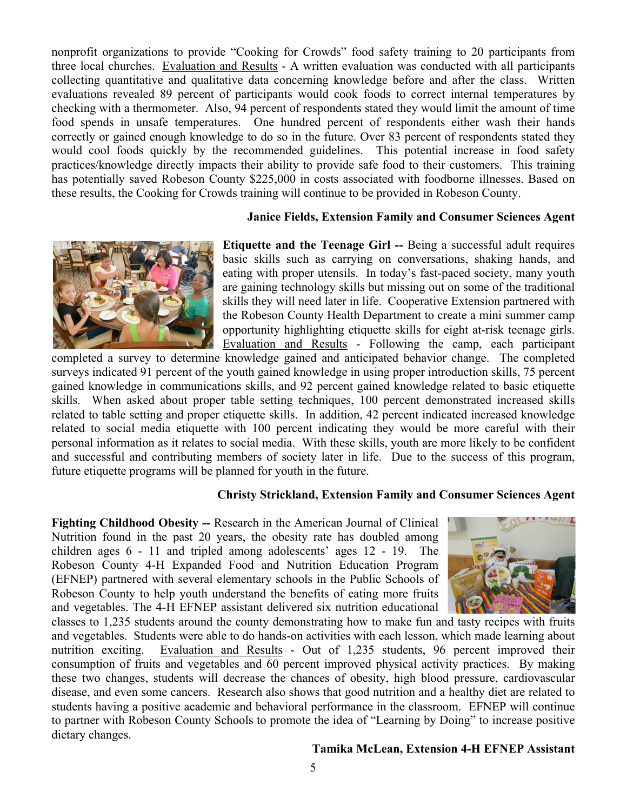nonprofit organizations to provide "Cooking for Crowds" food safety training to 20 participants from three local churches. Evaluation and Results - A written evaluation was conducted with all participants collecting quantitative and qualitative data concerning knowledge before and after the class. Written evaluations revealed 89 percent of participants would cook foods to correct internal temperatures by checking with a thermometer. Also, 94 percent of respondents stated they would limit the amount of time food spends in unsafe temperatures. One hundred percent of respondents either wash their hands correctly or gained enough knowledge to do so in the future. Over 83 percent of respondents stated they would cool foods quickly by the recommended guidelines. This potential increase in food safety practices/knowledge directly impacts their ability to provide safe food to their customers. This training has potentially saved Robeson County \$225,000 in costs associated with foodborne illnesses. Based on these results, the Cooking for Crowds training will continue to be provided in Robeson County.

### **Janice Fields, Extension Family and Consumer Sciences Agent**



**Etiquette and the Teenage Girl --** Being a successful adult requires basic skills such as carrying on conversations, shaking hands, and eating with proper utensils. In today's fast-paced society, many youth are gaining technology skills but missing out on some of the traditional skills they will need later in life. Cooperative Extension partnered with the Robeson County Health Department to create a mini summer camp opportunity highlighting etiquette skills for eight at-risk teenage girls. Evaluation and Results - Following the camp, each participant

completed a survey to determine knowledge gained and anticipated behavior change. The completed surveys indicated 91 percent of the youth gained knowledge in using proper introduction skills, 75 percent gained knowledge in communications skills, and 92 percent gained knowledge related to basic etiquette skills. When asked about proper table setting techniques, 100 percent demonstrated increased skills related to table setting and proper etiquette skills. In addition, 42 percent indicated increased knowledge related to social media etiquette with 100 percent indicating they would be more careful with their personal information as it relates to social media. With these skills, youth are more likely to be confident and successful and contributing members of society later in life. Due to the success of this program, future etiquette programs will be planned for youth in the future.

### **Christy Strickland, Extension Family and Consumer Sciences Agent**

**Fighting Childhood Obesity --** Research in the American Journal of Clinical Nutrition found in the past 20 years, the obesity rate has doubled among children ages 6 - 11 and tripled among adolescents' ages 12 - 19. The Robeson County 4-H Expanded Food and Nutrition Education Program (EFNEP) partnered with several elementary schools in the Public Schools of Robeson County to help youth understand the benefits of eating more fruits and vegetables. The 4-H EFNEP assistant delivered six nutrition educational



classes to 1,235 students around the county demonstrating how to make fun and tasty recipes with fruits and vegetables. Students were able to do hands-on activities with each lesson, which made learning about nutrition exciting. Evaluation and Results - Out of 1,235 students, 96 percent improved their consumption of fruits and vegetables and 60 percent improved physical activity practices. By making these two changes, students will decrease the chances of obesity, high blood pressure, cardiovascular disease, and even some cancers. Research also shows that good nutrition and a healthy diet are related to students having a positive academic and behavioral performance in the classroom. EFNEP will continue to partner with Robeson County Schools to promote the idea of "Learning by Doing" to increase positive dietary changes.

#### **Tamika McLean, Extension 4-H EFNEP Assistant**